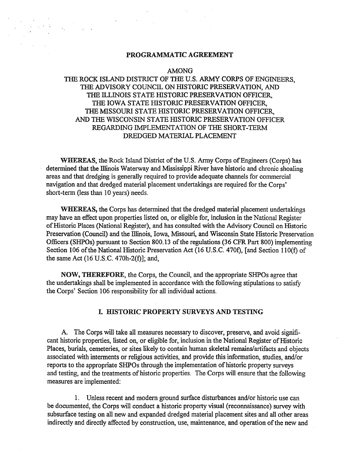#### **PROGRAMMATIC** AGREEMENT

 $\sqrt{2}$  and  $\sqrt{2}$ 

#### AMONG

# THE ROCK ISLAND DISTRICT OF THE U.S. ARMY CORPS OF ENGINEERS, THE ADVISORY COUNCIL ON HISTORIC PRESERVATION, AND THE ILLINOIS STATE HISTORIC PRESERVATION OFFICER, THE IOWA STATE HISTORIC PRESERVATION OFFICER, THE MISSOURI STATE HISTORIC PRESERVATION OFFICER, AND THE WISCONSIN STATE HISTORIC PRESERVATION OFFICER REGARDING IMPLEMENTATION OF THE SHORT-TERM DREDGED MATERIAL PLACEMENT

**WHEREAS, the Rock Island District of the U.S. Army Corps of Engineers (Corps) has** determined that the Illinois Waterway and Mississippi River have historic and chronic shoaling areas and that dredging is generally required to provide adequate channels for commercial navigation and that dredged material placement undertakings are required for the Corps' short-term (less than IO years) needs.

**WHEREAS,** the Corps has determined that the dredged material placement undertakings may have an effect upon properties listed on, or eligible for, inclusion in the National Register of Historic Places (National Register), and has consulted with the Advisory Council on Historic Preservation (Council) and the lliinois, Iowa, Missouri, and Wisconsin State Historic Preservation Officers (SHPOs) pursuant to Section 800. 13 of the regulations (36 CFR Part 800) implementing Section 106 of the National Historic Preservation Act (16 U.S.C. 470f), [and Section I IO(f) of the same Act (16 U.S.C. 470h-2(f)]; and,

**NOW, THEREFORE,** the Corps, the Council, and the appropriate SHPOs agree that the undertakings shall be implemented in accordance with the following stipulations to satisfy the Corps' Section 106 responsibility for all individual actions.

#### **L. HISTORIC PROPERTY SURVEYS AND TESTING**

A The Corps will take all measures necessary to discover, preserve, and avoid significant historic properties, listed on, or eligible for, inclusion in the National Register of Historic Places, burials, cemeteries, or sites likely to contain human skeletal remains/artifacts and objects associated with interments or religious activities, and provide this information, studies, and/or reports to the appropriate SHPOs through the implementation of historic property surveys and testing, and the treatments of historic properties. The Corps will ensure that the following measures are implemented:

I. Unless recent and modem ground surface disturbances and/or historic use can be documented, the Corps will conduct a historic property visual (reconnaissance) survey with subsurface testing on all new and expanded dredged material placement sites and all other areas indirectly and directly affected by construction, use, maintenance, and operation of the new and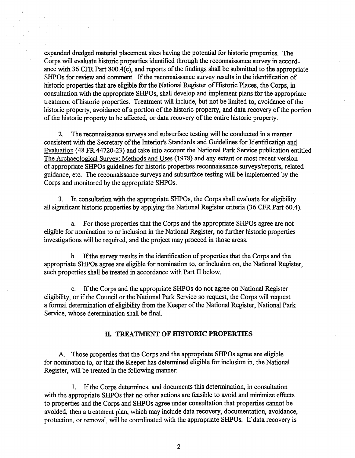expanded dredged material placement sites having the potential for historic properties. The Corps will evaluate historic properties identified through the reconnaissance survey in accordance with 36 CFR Part 800.4(c), and reports of the findings shall be submitted to the appropriate SHPOs for review and comment. If the reconnaissance survey results in the identification of historic properties that are eligible for the National Register of Historic Places, the Corps, in consultation with the appropriate SHPOs, shall develop and implement plans for the appropriate treatment of historic properties. Treatment will include, but not be limited to, avoidance of the historic property, avoidance of a portion of the historic property, and data recovery of the portion of the historic property to be affected, or data recovery of the entire historic property.

2. The reconnaissance surveys and subsurface testing will be conducted in a manner consistent with the Secretary of the Interior's Standards and Guidelines for Identification and Evaluation (48 FR 44720-23) and take into account the National Park Service publication entitled The Archaeological Survey: Methods and Uses (1978) and any extant or most recent version of appropriate SHPOs guidelines for historic properties reconnaissance surveys/reports, related guidance, etc. The reconnaissance surveys and subsurface testing will be implemented by the Corps and monitored by the appropriate SHPOs.

3. In consultation with the appropriate SHPOs, the Corps shall evaluate for eligibility all significant historic properties by applying the National Register criteria (36 CFR Part 60.4).

a. For those properties that the Corps and the appropriate SHPOs agree are not eligible for nomination to or inclusion in the National Register, no further historic properties investigations will be required, and the project may proceed in those areas.

b. If the survey results in the identification of properties that the Corps and the appropriate SHPOs agree are eligible for nomination to, or inclusion on, the National Register, such properties shall be treated in accordance with Part II below.

c. If the Corps and the appropriate SHPOs do not agree on National Register eligibility, or if the Council or the National Park Service so request, the Corps will request a formal determination of eligibility from the Keeper of the National Register, National Park Service, whose determination shall be final.

### **II. TREATMENT OF HISTORIC PROPERTIES**

A. Those properties that the Corps and the appropriate SHPOs agree are eligible for nomination to, or that the Keeper has determined eligible for inclusion in, the National Register, will be treated in the following manner:

1. If the Corps determines, and documents this determination, in consultation with the appropriate SHPOs that no other actions are feasible to avoid and minimize effects to properties and the Corps and SHPOs agree under consultation that properties cannot be avoided, then a treatment plan, which may include data recovery, documentation, avoidance, protection, or removal, will be coordinated with the appropriate SHPOs. If data recovery is

2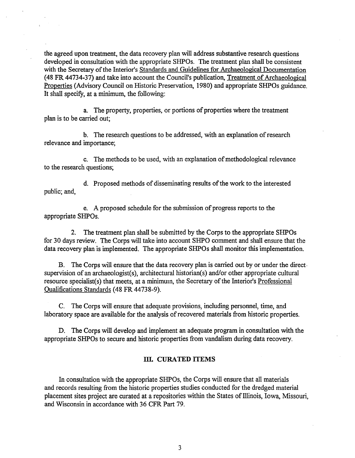the agreed upon treatment, the data recovery plan will address substantive research questions developed in consultation with the appropriate SHPOs. The treatment plan shall be consistent with the Secretary of the Interior's Standards and Guidelines for Archaeological Documentation (48 FR 44734-37) and take into account the Council's publication, Treatment of Archaeological Properties (Advisory Council on Historic Preservation, 1980) and appropriate SHPOs guidance. It shall specify, at a minimum, the following:

a. The property, properties, or portions of properties where the treatment plan is to be carried out;

b. The research questions to be addressed, with an explanation of research relevance and importance;

c. The methods to be used, with an explanation of methodological relevance to the research questions;

d. Proposed methods of disseminating results of the work to the interested public; and,

e. A proposed schedule for the submission of progress reports to the appropriate SHPOs.

2. The treatment plan shall be submitted by the Corps to the appropriate SHPOs for 30 days review. The Corps will take into account SHPO comment and shall ensure that the data recovery plan is implemented. The appropriate SHPOs shall monitor this implementation.

B. The Corps will ensure that the data recovery plan is carried out by or under the directsupervision of an archaeologist(s), architectural historian(s) and/or other appropriate cultural resource specialist(s) that meets, at a minimum, the Secretary of the Interior's Professional Qualifications Standards (48 FR 44738-9).

C. The Corps will ensure that adequate provisions, including personnel, time, and laboratory space are available for the analysis of recovered materials from historic properties.

D. The Corps will develop and implement an adequate program in consultation with the appropriate SHPOs to secure and historic properties from vandalism during data recovery.

#### ID. **CURATED ITEMS**

In consultation with the appropriate SHPOs, the Corps will ensure that all materials and records resulting from the historic properties studies conducted for the dredged material placement sites project are curated at a repositories within the States of Illinois, Iowa, Missouri, and Wisconsin in accordance with 36 CFR Part 79.

3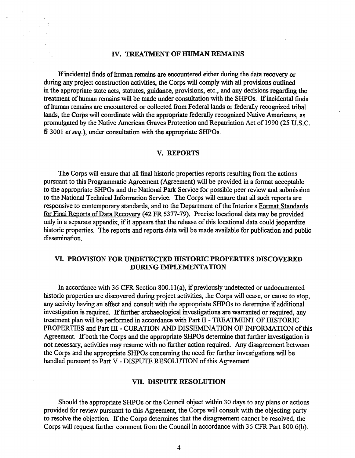#### IV. **TREATMENT OF HUMAN REMAINS**

If incidental finds of human remains are encountered either during the data recovery or during any project construction activities, the Corps will comply with all provisions outlined in the appropriate state acts, statutes, guidance, provisions, etc., and any decisions regarding the treatment of human remains will be made under consultation with the SHPOs. If incidental finds of human remains are encountered or collected from Federal lands or federally recognized tribal lands, the Corps will coordinate with the appropriate federally recognized Native Americans, as promulgated by the Native American Graves Protection and Repatriation Act of 1990 (25 U.S.C. § 3001 *et seq.),* under consultation with the appropriate SHPOs.

#### **V. REPORTS**

The Corps will ensure that all final historic properties reports resulting from the actions pursuant to this Programmatic Agreement (Agreement) will be provided in a format acceptable to the appropriate SHPOs and the National Park Service for possible peer review and submission to the National Technical Information Service. The Corps will ensure that all such reports are responsive to contemporary standards, and to the Department of the Interior's Format Standards for Final Reports of Data Recovery (42 FR 5377-79). Precise locational data may be provided only in a separate appendix, if it appears that the release of this locational data could jeopardize historic properties. The reports and reports data will be made available for publication and public dissemination.

## **VI. PROVISION FOR UNDETECTED HISTORIC PROPERTIES DISCOVERED DURING IMPLEMENTATION**

In accordance with 36 CFR Section 800.11(a), if previously undetected or undocumented historic properties are discovered during project activities, the Corps will cease, or cause to stop, any activity having an effect and consult with the appropriate SHPOs to determine if additional investigation is required. If further archaeological investigations are warranted or required, any treatment plan will be performed in accordance with Part II - TREATMENT OF HISTORIC PROPERTIES and Part III - CURATION AND DISSEMINATION OF INFORMATION of this Agreement. If both the Corps and the appropriate SHPOs determine that further investigation is not necessary, activities may resume with no further action required. Any disagreement between the Corps and the appropriate SHPOs concerning the need for further investigations will be handled pursuant to Part V - DISPUTE RESOLUTION of this Agreement.

#### **VIl. DISPUTE RESOLUTION**

Should the appropriate SHPOs or the Council object within 30 days to any plans or actions provided for review pursuant to this Agreement, the Corps will consult with the objecting party to resolve the objection. If the Corps determines that the disagreement cannot be resolved, the Corps will request further comment from the Council in accordance with 36 CFR Part 800.6(b).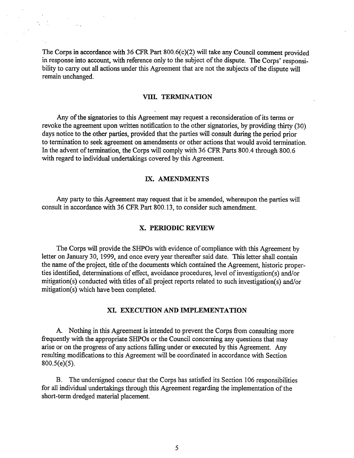The Corps in accordance with 36 CFR Part 800.6(c)(2) will take any Council comment provided in response into account, with reference only to the subject of the dispute. The Corps' responsibility to carry out all actions under this Agreement that are not the subjects of the dispute will remain unchanged.

#### **VIlI. TERMINATION**

Any of the signatories to this Agreement may request a reconsideration of its terms or revoke the agreement upon written notification to the other signatories, by providing thirty (30) days notice to the other parties, provided that the parties will consult during the period prior to termination to seek agreement on amendments or other actions that would avoid termination. In the advent of termination, the Corps will comply with 36 CFR Parts 800.4 through 800.6 with regard to individual undertakings covered by this Agreement.

#### IX. **AMENDMENTS**

Any party to this Agreement may request that it be amended, whereupon the parties will consult in accordance with 36 CFR Part 800.13, to consider such amendment.

#### **X. PERIODIC REVIEW**

The Corps will provide the SHPOs with evidence of compliance with this Agreement by letter on January 30, 1999, and once every year thereafter said date. This letter shall contain the name of the project, title of the documents which contained the Agreement, historic properties identified, determinations of effect, avoidance procedures, level of investigation(s) and/or mitigation(s) conducted with titles of all project reports related to such investigation(s) and/or mitigation(s) which have been completed.

#### **XL EXECUTION AND IMPLEMENTATION**

A. Nothing in this Agreement is intended to prevent the Corps from consulting more frequently with the appropriate SHPOs or the Council concerning any questions that may arise or on the progress of any actions falling under or executed by this Agreement. Any resulting modifications to this Agreement will be coordinated in accordance with Section 800.S(e)(S).

B. The undersigned concur that the Corps has satisfied its Section 106 responsibilities for all individual undertakings through this Agreement regarding the implementation of the short-term dredged material placement.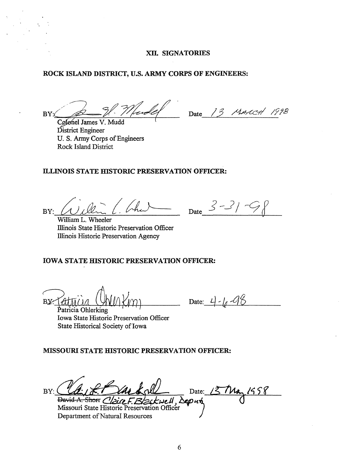## XII. SIGNATORIES

#### ROCK ISLAND DISTRICT, U.S. ARMY CORPS OF ENGINEERS:

tander BY:

Date 13 MARCH 1998

Cølonel James V. Mudd District Engineer U. S. Army Corps of Engineers **Rock Island District** 

# ILLINOIS STATE HISTORIC PRESERVATION OFFICER:

BY:

William L. Wheeler Illinois State Historic Preservation Officer Illinois Historic Preservation Agency

# **IOWA STATE HISTORIC PRESERVATION OFFICER:**

BY.

Date:  $4 - 11 - 98$ 

Date  $3 - 3/7$ 

Patricia Ohlerking Iowa State Historic Preservation Officer State Historical Society of Iowa

# MISSOURI STATE HISTORIC PRESERVATION OFFICER:

Date:  $157\mu$  $BY:$ David A. Shorr Claire F. Blackwell, Deputy